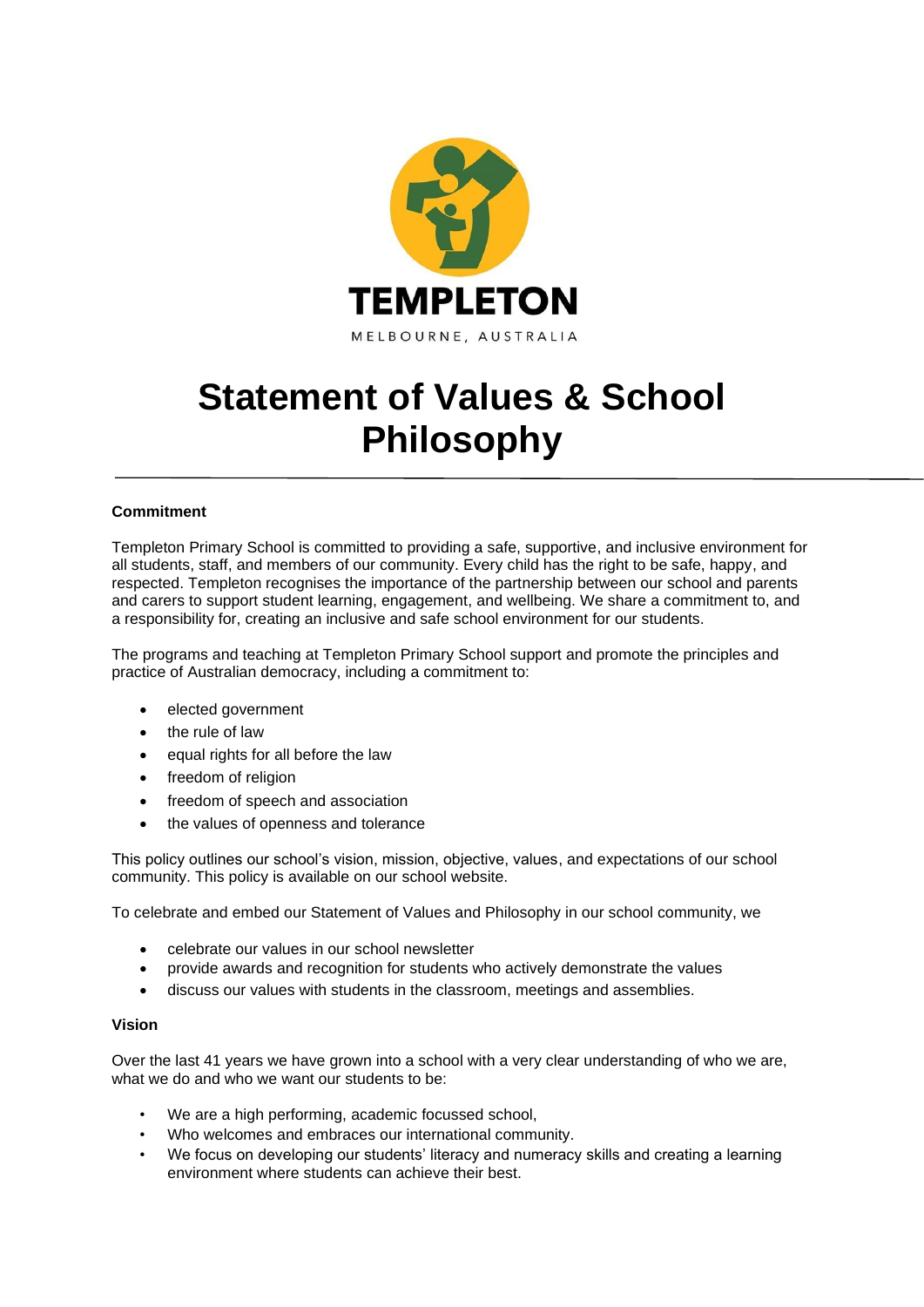

# **Statement of Values & School Philosophy**

## **Commitment**

Templeton Primary School is committed to providing a safe, supportive, and inclusive environment for all students, staff, and members of our community. Every child has the right to be safe, happy, and respected. Templeton recognises the importance of the partnership between our school and parents and carers to support student learning, engagement, and wellbeing. We share a commitment to, and a responsibility for, creating an inclusive and safe school environment for our students.

The programs and teaching at Templeton Primary School support and promote the principles and practice of Australian democracy, including a commitment to:

- elected government
- the rule of law
- equal rights for all before the law
- freedom of religion
- freedom of speech and association
- the values of openness and tolerance

This policy outlines our school's vision, mission, objective, values, and expectations of our school community. This policy is available on our school website.

To celebrate and embed our Statement of Values and Philosophy in our school community, we

- celebrate our values in our school newsletter
- provide awards and recognition for students who actively demonstrate the values
- discuss our values with students in the classroom, meetings and assemblies.

#### **Vision**

Over the last 41 years we have grown into a school with a very clear understanding of who we are, what we do and who we want our students to be:

- We are a high performing, academic focussed school,
- Who welcomes and embraces our international community.
- We focus on developing our students' literacy and numeracy skills and creating a learning environment where students can achieve their best.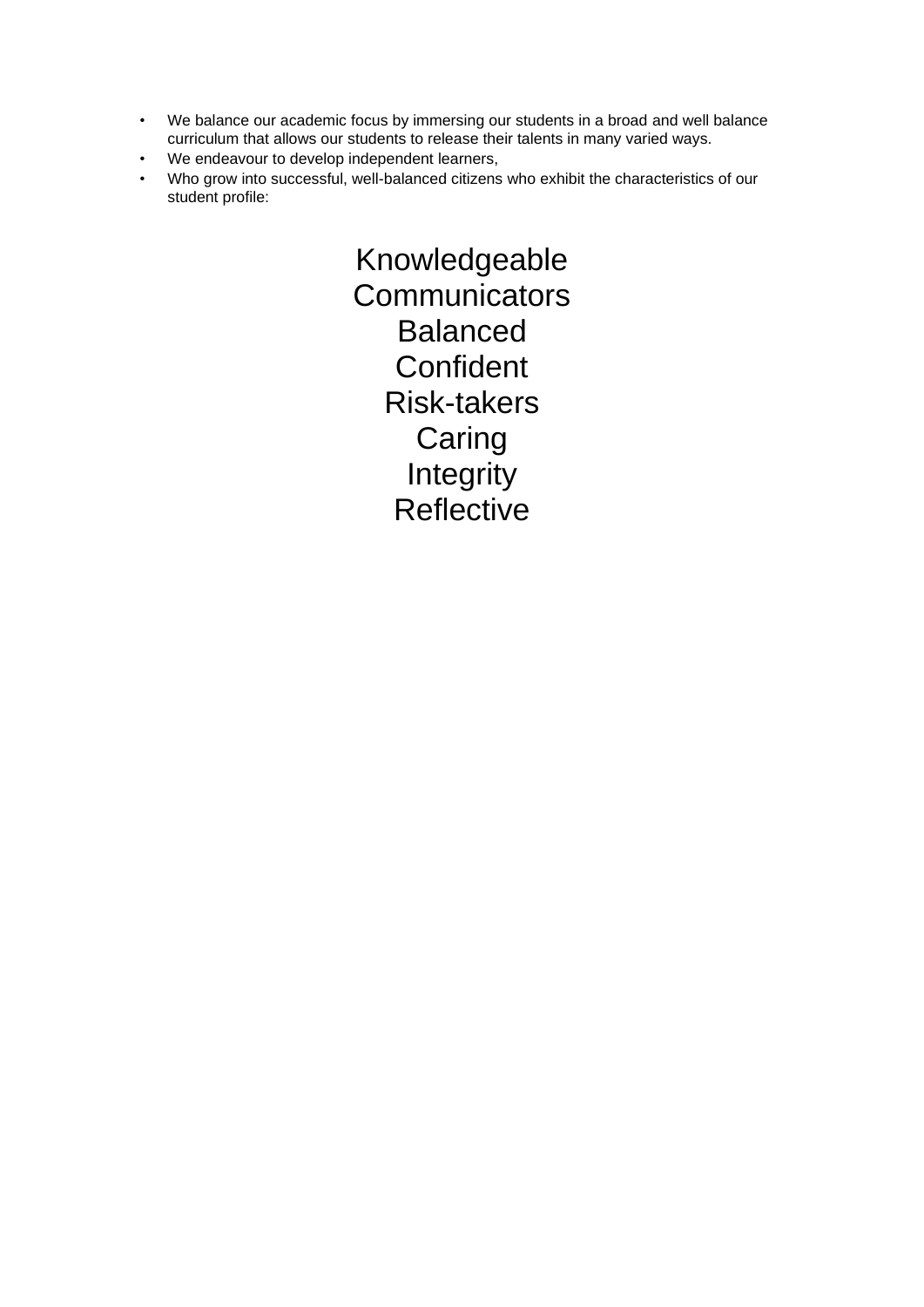- We balance our academic focus by immersing our students in a broad and well balance curriculum that allows our students to release their talents in many varied ways.
- We endeavour to develop independent learners,
- Who grow into successful, well-balanced citizens who exhibit the characteristics of our student profile:

Knowledgeable **Communicators** Balanced **Confident** Risk-takers **Caring Integrity Reflective**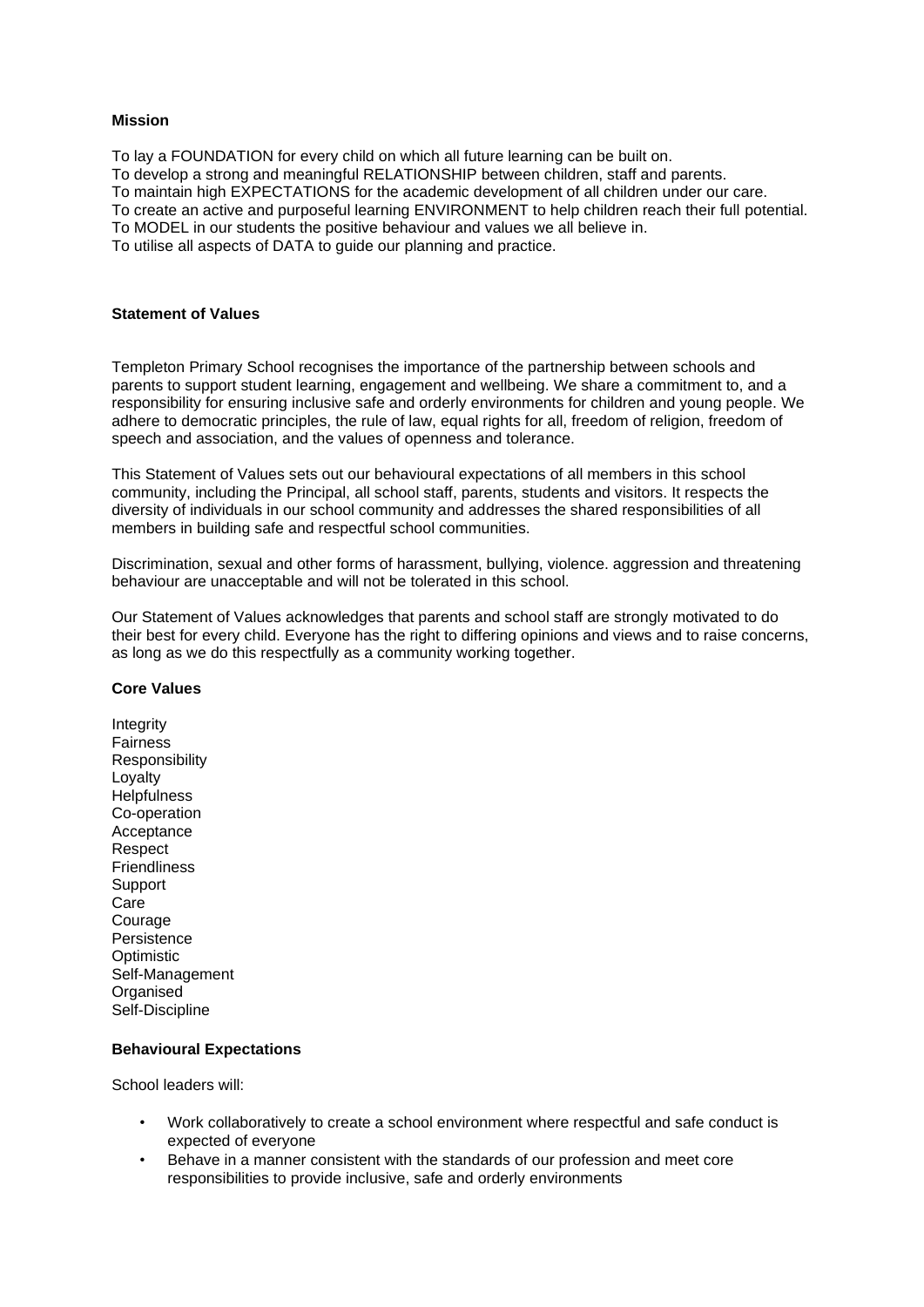### **Mission**

To lay a FOUNDATION for every child on which all future learning can be built on.

To develop a strong and meaningful RELATIONSHIP between children, staff and parents.

To maintain high EXPECTATIONS for the academic development of all children under our care.

To create an active and purposeful learning ENVIRONMENT to help children reach their full potential.

To MODEL in our students the positive behaviour and values we all believe in.

To utilise all aspects of DATA to guide our planning and practice.

#### **Statement of Values**

Templeton Primary School recognises the importance of the partnership between schools and parents to support student learning, engagement and wellbeing. We share a commitment to, and a responsibility for ensuring inclusive safe and orderly environments for children and young people. We adhere to democratic principles, the rule of law, equal rights for all, freedom of religion, freedom of speech and association, and the values of openness and tolerance.

This Statement of Values sets out our behavioural expectations of all members in this school community, including the Principal, all school staff, parents, students and visitors. It respects the diversity of individuals in our school community and addresses the shared responsibilities of all members in building safe and respectful school communities.

Discrimination, sexual and other forms of harassment, bullying, violence. aggression and threatening behaviour are unacceptable and will not be tolerated in this school.

Our Statement of Values acknowledges that parents and school staff are strongly motivated to do their best for every child. Everyone has the right to differing opinions and views and to raise concerns, as long as we do this respectfully as a community working together.

#### **Core Values**

**Integrity** Fairness Responsibility Loyalty **Helpfulness** Co-operation Acceptance Respect **Friendliness Support** Care Courage **Persistence Optimistic** Self-Management **Organised** Self-Discipline

#### **Behavioural Expectations**

School leaders will:

- Work collaboratively to create a school environment where respectful and safe conduct is expected of everyone
- Behave in a manner consistent with the standards of our profession and meet core responsibilities to provide inclusive, safe and orderly environments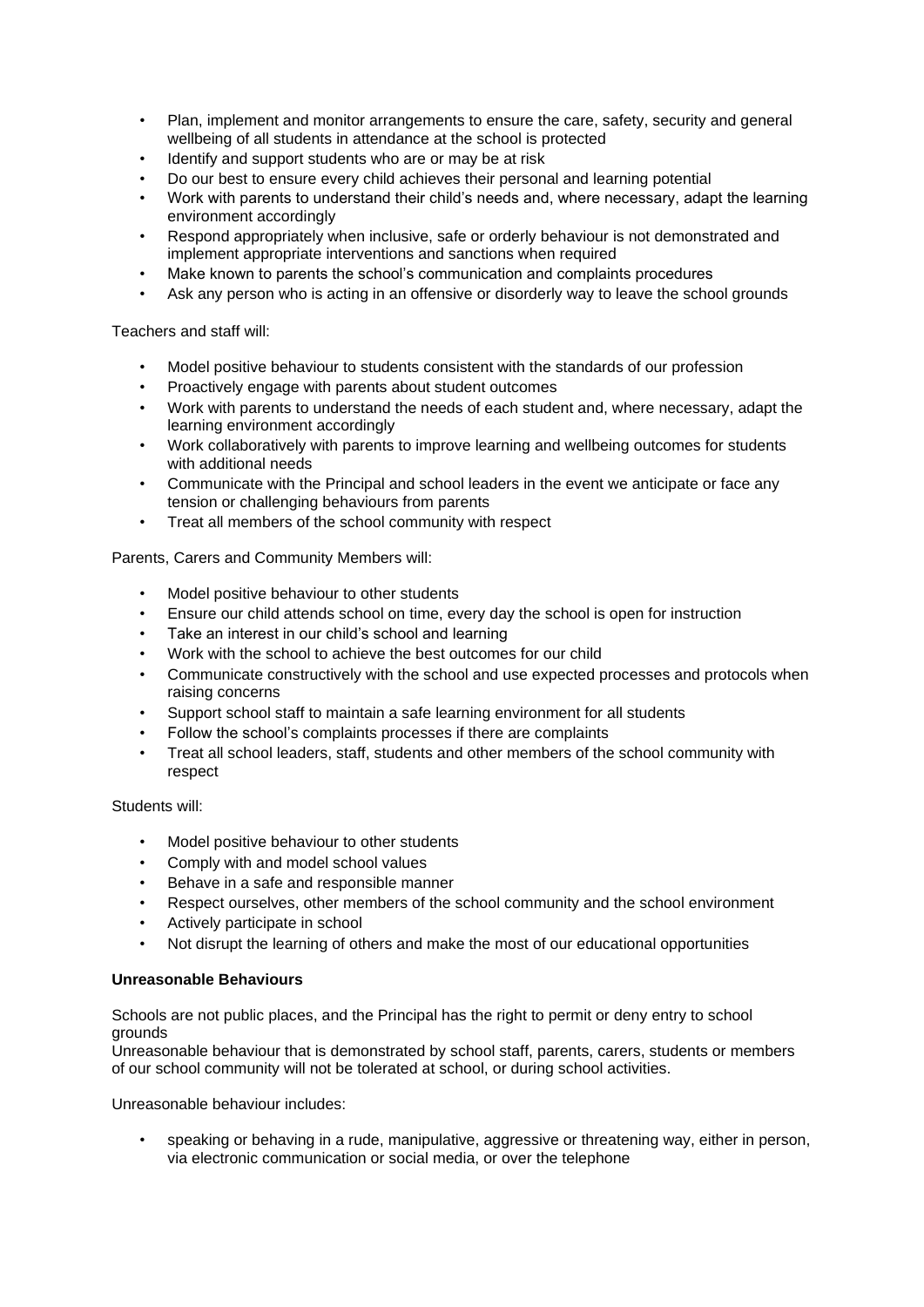- Plan, implement and monitor arrangements to ensure the care, safety, security and general wellbeing of all students in attendance at the school is protected
- Identify and support students who are or may be at risk
- Do our best to ensure every child achieves their personal and learning potential
- Work with parents to understand their child's needs and, where necessary, adapt the learning environment accordingly
- Respond appropriately when inclusive, safe or orderly behaviour is not demonstrated and implement appropriate interventions and sanctions when required
- Make known to parents the school's communication and complaints procedures
- Ask any person who is acting in an offensive or disorderly way to leave the school grounds

Teachers and staff will:

- Model positive behaviour to students consistent with the standards of our profession
- Proactively engage with parents about student outcomes
- Work with parents to understand the needs of each student and, where necessary, adapt the learning environment accordingly
- Work collaboratively with parents to improve learning and wellbeing outcomes for students with additional needs
- Communicate with the Principal and school leaders in the event we anticipate or face any tension or challenging behaviours from parents
- Treat all members of the school community with respect

Parents, Carers and Community Members will:

- Model positive behaviour to other students
- Ensure our child attends school on time, every day the school is open for instruction
- Take an interest in our child's school and learning
- Work with the school to achieve the best outcomes for our child
- Communicate constructively with the school and use expected processes and protocols when raising concerns
- Support school staff to maintain a safe learning environment for all students
- Follow the school's complaints processes if there are complaints
- Treat all school leaders, staff, students and other members of the school community with respect

Students will:

- Model positive behaviour to other students
- Comply with and model school values
- Behave in a safe and responsible manner
- Respect ourselves, other members of the school community and the school environment
- Actively participate in school
- Not disrupt the learning of others and make the most of our educational opportunities

#### **Unreasonable Behaviours**

Schools are not public places, and the Principal has the right to permit or deny entry to school grounds

Unreasonable behaviour that is demonstrated by school staff, parents, carers, students or members of our school community will not be tolerated at school, or during school activities.

Unreasonable behaviour includes:

• speaking or behaving in a rude, manipulative, aggressive or threatening way, either in person, via electronic communication or social media, or over the telephone